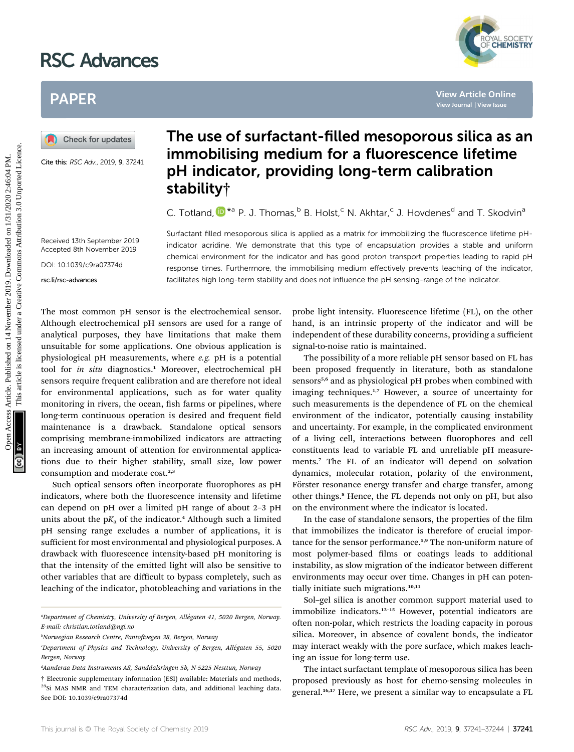# RSC Advances



## PAPER

Cite this: RSC Adv., 2019, 9, 37241

### The use of surfactant-filled mesoporous silica as an immobilising medium for a fluorescence lifetime pH indicator, providing long-term calibration stability†

C. Totland[,](http://orcid.org/0000-0002-1457-9012)  $\mathbb{D}^{*a}$  P. J. Thomas,  $\mathbb{D}^b$  B. Holst,  $\mathbb{C}$  N. Akhtar,  $\mathbb{C}$  J. Hovdenes<sup>d</sup> and T. Skodvin<sup>a</sup>

Surfactant filled mesoporous silica is applied as a matrix for immobilizing the fluorescence lifetime pHindicator acridine. We demonstrate that this type of encapsulation provides a stable and uniform chemical environment for the indicator and has good proton transport properties leading to rapid pH response times. Furthermore, the immobilising medium effectively prevents leaching of the indicator, facilitates high long-term stability and does not influence the pH sensing-range of the indicator.

Received 13th September 2019 Accepted 8th November 2019

DOI: 10.1039/c9ra07374d

rsc.li/rsc-advances

The most common pH sensor is the electrochemical sensor. Although electrochemical pH sensors are used for a range of analytical purposes, they have limitations that make them unsuitable for some applications. One obvious application is physiological pH measurements, where e.g. pH is a potential tool for in situ diagnostics.<sup>1</sup> Moreover, electrochemical pH sensors require frequent calibration and are therefore not ideal for environmental applications, such as for water quality monitoring in rivers, the ocean, fish farms or pipelines, where long-term continuous operation is desired and frequent field maintenance is a drawback. Standalone optical sensors comprising membrane-immobilized indicators are attracting an increasing amount of attention for environmental applications due to their higher stability, small size, low power consumption and moderate cost.<sup>2,3</sup> **PAPER**<br> **(A)** Check for godales **The use of surfactant-filled mesoporous silica as <b>immobilising medium for a fluorescence lifetime**<br> **CHERBY CHERBY CHERBY CONSULTS CONSULTS CONSULTS (CONSULTS)**<br> **CHERBY CONSULTS CONSULT** 

Such optical sensors often incorporate fluorophores as pH indicators, where both the fluorescence intensity and lifetime can depend on pH over a limited pH range of about 2–3 pH units about the  $pK_a$  of the indicator.<sup>4</sup> Although such a limited pH sensing range excludes a number of applications, it is sufficient for most environmental and physiological purposes. A drawback with fluorescence intensity-based pH monitoring is that the intensity of the emitted light will also be sensitive to other variables that are difficult to bypass completely, such as leaching of the indicator, photobleaching and variations in the

probe light intensity. Fluorescence lifetime (FL), on the other hand, is an intrinsic property of the indicator and will be independent of these durability concerns, providing a sufficient signal-to-noise ratio is maintained.

The possibility of a more reliable pH sensor based on FL has been proposed frequently in literature, both as standalone sensors<sup>5,6</sup> and as physiological pH probes when combined with imaging techniques.<sup>1,7</sup> However, a source of uncertainty for such measurements is the dependence of FL on the chemical environment of the indicator, potentially causing instability and uncertainty. For example, in the complicated environment of a living cell, interactions between fluorophores and cell constituents lead to variable FL and unreliable pH measurements.<sup>7</sup> The FL of an indicator will depend on solvation dynamics, molecular rotation, polarity of the environment, Förster resonance energy transfer and charge transfer, among other things.<sup>8</sup> Hence, the FL depends not only on pH, but also on the environment where the indicator is located.

In the case of standalone sensors, the properties of the film that immobilizes the indicator is therefore of crucial importance for the sensor performance.5,9 The non-uniform nature of most polymer-based films or coatings leads to additional instability, as slow migration of the indicator between different environments may occur over time. Changes in pH can potentially initiate such migrations.<sup>10,11</sup>

Sol–gel silica is another common support material used to immobilize indicators.<sup>12-15</sup> However, potential indicators are often non-polar, which restricts the loading capacity in porous silica. Moreover, in absence of covalent bonds, the indicator may interact weakly with the pore surface, which makes leaching an issue for long-term use.

The intact surfactant template of mesoporous silica has been proposed previously as host for chemo-sensing molecules in general.<sup>16,17</sup> Here, we present a similar way to encapsulate a FL

<sup>&</sup>quot;Department of Chemistry, University of Bergen, Allégaten 41, 5020 Bergen, Norway. E-mail: christian.totland@ngi.no

<sup>&</sup>lt;sup>b</sup>Norwegian Research Centre, Fantoftvegen 38, Bergen, Norway

Department of Physics and Technology, University of Bergen, Allégaten 55, 5020<sup>.</sup> Bergen, Norway

d Aanderaa Data Instruments AS, Sanddalsringen 5b, N-5225 Nesttun, Norway

<sup>†</sup> Electronic supplementary information (ESI) available: Materials and methods, <sup>29</sup>Si MAS NMR and TEM characterization data, and additional leaching data. See DOI: 10.1039/c9ra07374d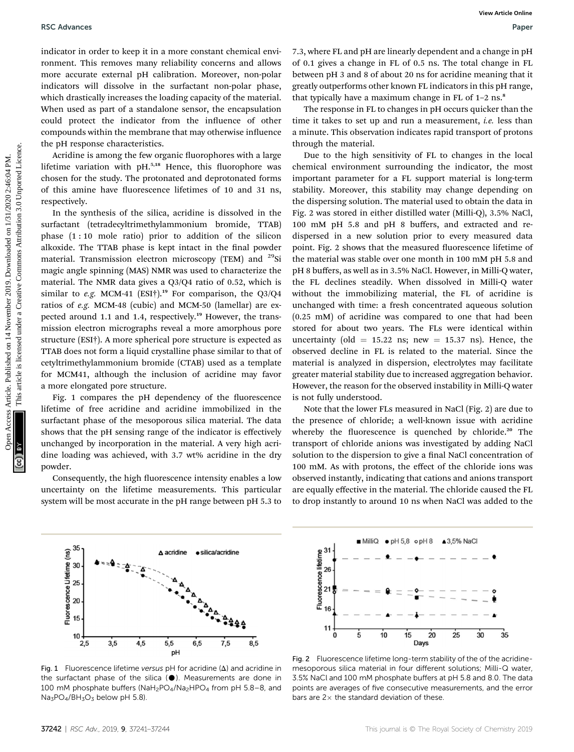indicator in order to keep it in a more constant chemical environment. This removes many reliability concerns and allows more accurate external pH calibration. Moreover, non-polar indicators will dissolve in the surfactant non-polar phase, which drastically increases the loading capacity of the material. When used as part of a standalone sensor, the encapsulation could protect the indicator from the influence of other compounds within the membrane that may otherwise influence the pH response characteristics.

Acridine is among the few organic fluorophores with a large lifetime variation with  $pH<sub>1</sub><sup>5,18</sup>$  Hence, this fluorophore was chosen for the study. The protonated and deprotonated forms of this amine have fluorescence lifetimes of 10 and 31 ns, respectively.

In the synthesis of the silica, acridine is dissolved in the surfactant (tetradecyltrimethylammonium bromide, TTAB) phase (1 : 10 mole ratio) prior to addition of the silicon alkoxide. The TTAB phase is kept intact in the final powder material. Transmission electron microscopy (TEM) and <sup>29</sup>Si magic angle spinning (MAS) NMR was used to characterize the material. The NMR data gives a Q3/Q4 ratio of 0.52, which is similar to e.g. MCM-41 (ESI<sup>†</sup>).<sup>19</sup> For comparison, the Q3/Q4 ratios of e.g. MCM-48 (cubic) and MCM-50 (lamellar) are expected around 1.1 and 1.4, respectively.<sup>19</sup> However, the transmission electron micrographs reveal a more amorphous pore structure (ESI†). A more spherical pore structure is expected as TTAB does not form a liquid crystalline phase similar to that of cetyltrimethylammonium bromide (CTAB) used as a template for MCM41, although the inclusion of acridine may favor a more elongated pore structure.

Fig. 1 compares the pH dependency of the fluorescence lifetime of free acridine and acridine immobilized in the surfactant phase of the mesoporous silica material. The data shows that the pH sensing range of the indicator is effectively unchanged by incorporation in the material. A very high acridine loading was achieved, with 3.7 wt% acridine in the dry powder.

Consequently, the high fluorescence intensity enables a low uncertainty on the lifetime measurements. This particular system will be most accurate in the pH range between pH 5.3 to 7.3, where FL and pH are linearly dependent and a change in pH of 0.1 gives a change in FL of 0.5 ns. The total change in FL between pH 3 and 8 of about 20 ns for acridine meaning that it greatly outperforms other known FL indicators in this pH range, that typically have a maximum change in FL of  $1-2$  ns.<sup>8</sup>

The response in FL to changes in pH occurs quicker than the time it takes to set up and run a measurement, *i.e.* less than a minute. This observation indicates rapid transport of protons through the material.

Due to the high sensitivity of FL to changes in the local chemical environment surrounding the indicator, the most important parameter for a FL support material is long-term stability. Moreover, this stability may change depending on the dispersing solution. The material used to obtain the data in Fig. 2 was stored in either distilled water (Milli-Q), 3.5% NaCl, 100 mM pH 5.8 and pH 8 buffers, and extracted and redispersed in a new solution prior to every measured data point. Fig. 2 shows that the measured fluorescence lifetime of the material was stable over one month in 100 mM pH 5.8 and pH 8 buffers, as well as in 3.5% NaCl. However, in Milli-Q water, the FL declines steadily. When dissolved in Milli-Q water without the immobilizing material, the FL of acridine is unchanged with time: a fresh concentrated aqueous solution (0.25 mM) of acridine was compared to one that had been stored for about two years. The FLs were identical within uncertainty (old  $= 15.22$  ns; new  $= 15.37$  ns). Hence, the observed decline in FL is related to the material. Since the material is analyzed in dispersion, electrolytes may facilitate greater material stability due to increased aggregation behavior. However, the reason for the observed instability in Milli-Q water is not fully understood. BSC Advances<br>
indicator in order to loop it in a move constant chemical on <sup>14</sup>  $\sim$  2.5 November 2019. Download a change in presentation the property of the surface in the surface of the surface of the surface of the sur

Note that the lower FLs measured in NaCl (Fig. 2) are due to the presence of chloride; a well-known issue with acridine whereby the fluorescence is quenched by chloride.<sup>20</sup> The transport of chloride anions was investigated by adding NaCl solution to the dispersion to give a final NaCl concentration of 100 mM. As with protons, the effect of the chloride ions was observed instantly, indicating that cations and anions transport are equally effective in the material. The chloride caused the FL to drop instantly to around 10 ns when NaCl was added to the



Fig. 1 Fluorescence lifetime versus pH for acridine  $(\Delta)$  and acridine in the surfactant phase of the silica  $(\bullet)$ . Measurements are done in 100 mM phosphate buffers (NaH<sub>2</sub>PO<sub>4</sub>/Na<sub>2</sub>HPO<sub>4</sub> from pH 5.8-8, and  $Na<sub>3</sub>PO<sub>4</sub>/BH<sub>3</sub>O<sub>3</sub>$  below pH 5.8)



Fig. 2 Fluorescence lifetime long-term stability of the of the acridinemesoporous silica material in four different solutions; Milli-Q water, 3.5% NaCl and 100 mM phosphate buffers at pH 5.8 and 8.0. The data points are averages of five consecutive measurements, and the error bars are  $2\times$  the standard deviation of these.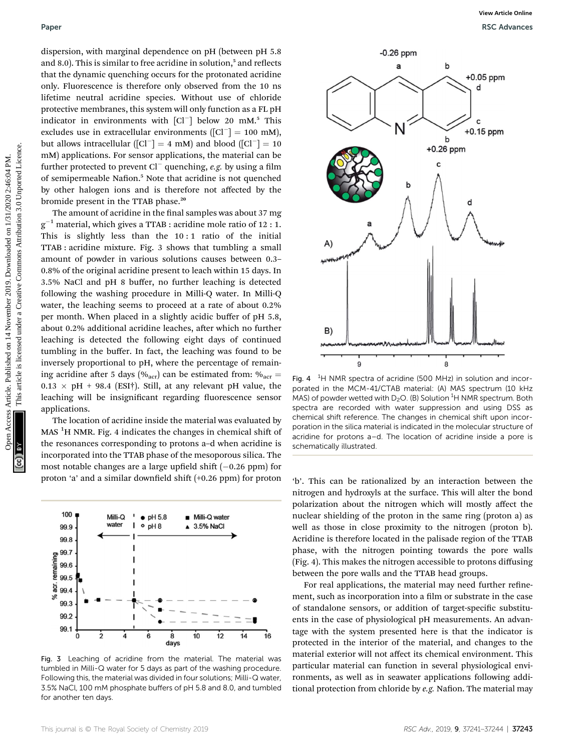dispersion, with marginal dependence on pH (between pH 5.8 and 8.0). This is similar to free acridine in solution, $5$  and reflects that the dynamic quenching occurs for the protonated acridine only. Fluorescence is therefore only observed from the 10 ns lifetime neutral acridine species. Without use of chloride protective membranes, this system will only function as a FL pH indicator in environments with  $\lceil$ Cl<sup>-</sup> $\rceil$  below 20 mM.<sup>5</sup> This excludes use in extracellular environments ( $\text{[Cl}^{-}$ ] = 100 mM), but allows intracellular ( $\lceil$ Cl<sup>-</sup> $\rceil$  = 4 mM) and blood ( $\lceil$ Cl<sup>-</sup> $\rceil$  = 10 mM) applications. For sensor applications, the material can be further protected to prevent  $Cl^-$  quenching, e.g. by using a film of semipermeable Nafion.<sup>5</sup> Note that acridine is not quenched by other halogen ions and is therefore not affected by the bromide present in the TTAB phase.<sup>20</sup>

The amount of acridine in the final samples was about 37 mg  $g^{-1}$  material, which gives a TTAB : acridine mole ratio of 12 : 1. This is slightly less than the  $10:1$  ratio of the initial TTAB : acridine mixture. Fig. 3 shows that tumbling a small amount of powder in various solutions causes between 0.3– 0.8% of the original acridine present to leach within 15 days. In 3.5% NaCl and pH 8 buffer, no further leaching is detected following the washing procedure in Milli-Q water. In Milli-Q water, the leaching seems to proceed at a rate of about 0.2% per month. When placed in a slightly acidic buffer of pH 5.8, about 0.2% additional acridine leaches, after which no further leaching is detected the following eight days of continued tumbling in the buffer. In fact, the leaching was found to be inversely proportional to pH, where the percentage of remaining acridine after 5 days ( $\%$ <sub>acr</sub>) can be estimated from:  $\%$ <sub>acr</sub> =  $0.13 \times \text{pH} + 98.4$  (ESI†). Still, at any relevant pH value, the leaching will be insignificant regarding fluorescence sensor applications.

The location of acridine inside the material was evaluated by MAS  $^{1}$ H NMR. Fig. 4 indicates the changes in chemical shift of the resonances corresponding to protons a–d when acridine is incorporated into the TTAB phase of the mesoporous silica. The most notable changes are a large upfield shift  $(-0.26$  ppm) for proton 'a' and a similar downfield shift  $(+0.26$  ppm) for proton



Fig. 3 Leaching of acridine from the material. The material was tumbled in Milli-Q water for 5 days as part of the washing procedure. Following this, the material was divided in four solutions; Milli-Q water, 3.5% NaCl, 100 mM phosphate buffers of pH 5.8 and 8.0, and tumbled for another ten days.



Fig. 4  $<sup>1</sup>H NMR$  spectra of acridine (500 MHz) in solution and incor-</sup> porated in the MCM-41/CTAB material: (A) MAS spectrum (10 kHz MAS) of powder wetted with  $D_2O$ . (B) Solution  ${}^{1}H$  NMR spectrum. Both spectra are recorded with water suppression and using DSS as chemical shift reference. The changes in chemical shift upon incorporation in the silica material is indicated in the molecular structure of acridine for protons a–d. The location of acridine inside a pore is schematically illustrated.

'b'. This can be rationalized by an interaction between the nitrogen and hydroxyls at the surface. This will alter the bond polarization about the nitrogen which will mostly affect the nuclear shielding of the proton in the same ring (proton a) as well as those in close proximity to the nitrogen (proton b). Acridine is therefore located in the palisade region of the TTAB phase, with the nitrogen pointing towards the pore walls (Fig. 4). This makes the nitrogen accessible to protons diffusing between the pore walls and the TTAB head groups.

For real applications, the material may need further refinement, such as incorporation into a film or substrate in the case of standalone sensors, or addition of target-specific substituents in the case of physiological pH measurements. An advantage with the system presented here is that the indicator is protected in the interior of the material, and changes to the material exterior will not affect its chemical environment. This particular material can function in several physiological environments, as well as in seawater applications following additional protection from chloride by  $e.g.$  Nafion. The material may